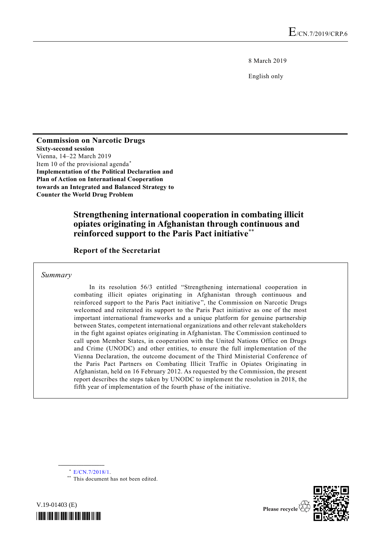8 March 2019

English only

**Commission on Narcotic Drugs Sixty-second session** Vienna, 14–22 March 2019 Item 10 of the provisional agenda\* **Implementation of the Political Declaration and Plan of Action on International Cooperation towards an Integrated and Balanced Strategy to Counter the World Drug Problem**

# **Strengthening international cooperation in combating illicit opiates originating in Afghanistan through continuous and reinforced support to the Paris Pact initiative**\*\*

## **Report of the Secretariat**

*Summary*

In its resolution 56/3 entitled "Strengthening international cooperation in combating illicit opiates originating in Afghanistan through continuous and reinforced support to the Paris Pact initiative", the Commission on Narcotic Drugs welcomed and reiterated its support to the Paris Pact initiative as one of the most important international frameworks and a unique platform for genuine partnership between States, competent international organizations and other relevant stakeholders in the fight against opiates originating in Afghanistan. The Commission continued to call upon Member States, in cooperation with the United Nations Office on Drugs and Crime (UNODC) and other entities, to ensure the full implementation of the Vienna Declaration, the outcome document of the Third Ministerial Conference of the Paris Pact Partners on Combating Illicit Traffic in Opiates Originating in Afghanistan, held on 16 February 2012. As requested by the Commission, the present report describes the steps taken by UNODC to implement the resolution in 2018, the fifth year of implementation of the fourth phase of the initiative.



**\_\_\_\_\_\_\_\_\_\_\_\_\_\_\_\_\_\_**

\*\* This document has not been edited.



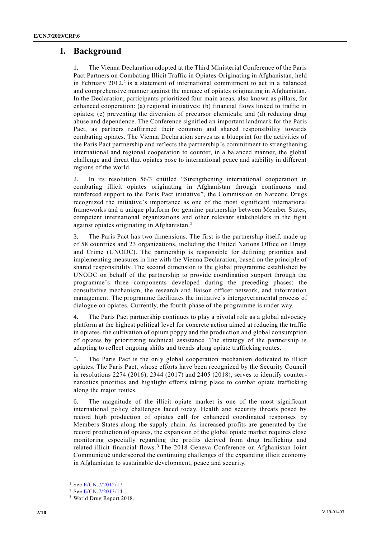## **I. Background**

The Vienna Declaration adopted at the Third Ministerial Conference of the Paris Pact Partners on Combating Illicit Traffic in Opiates Originating in Afghanistan, held in February  $2012$ ,<sup>1</sup> is a statement of international commitment to act in a balanced and comprehensive manner against the menace of opiates originating in Afghanistan. In the Declaration, participants prioritized four main areas, also known as pillars, for enhanced cooperation: (a) regional initiatives; (b) financial flows linked to traffic in opiates; (c) preventing the diversion of precursor chemicals; and (d) reducing drug abuse and dependence. The Conference signified an important landmark for the Paris Pact, as partners reaffirmed their common and shared responsibility towards combating opiates. The Vienna Declaration serves as a blueprint for the activities of the Paris Pact partnership and reflects the partnership's commitment to strengthening international and regional cooperation to counter, in a balanced manner, the global challenge and threat that opiates pose to international peace and stability in different regions of the world.

2. In its resolution 56/3 entitled "Strengthening international cooperation in combating illicit opiates originating in Afghanistan through continuous and reinforced support to the Paris Pact initiative", the Commission on Narcotic Drugs recognized the initiative's importance as one of the most significant international frameworks and a unique platform for genuine partnership between Member States, competent international organizations and other relevant stakeholders in the fight against opiates originating in Afghanistan. <sup>2</sup>

3. The Paris Pact has two dimensions. The first is the partnership itself, made up of 58 countries and 23 organizations, including the United Nations Office on Drugs and Crime (UNODC). The partnership is responsible for defining priorities and implementing measures in line with the Vienna Declaration, based on the principle of shared responsibility. The second dimension is the global programme established by UNODC on behalf of the partnership to provide coordination support through the programme's three components developed during the preceding phases: the consultative mechanism, the research and liaison officer network, and information management. The programme facilitates the initiative's intergovernmental process of dialogue on opiates. Currently, the fourth phase of the programme is under way.

4. The Paris Pact partnership continues to play a pivotal role as a global advocacy platform at the highest political level for concrete action aimed at reducing the traffic in opiates, the cultivation of opium poppy and the production and global consumption of opiates by prioritizing technical assistance. The strategy of the partnership is adapting to reflect ongoing shifts and trends along opiate trafficking routes.

5. The Paris Pact is the only global cooperation mechanism dedicated to illicit opiates. The Paris Pact, whose efforts have been recognized by the Security Council in resolutions  $2274$  (2016),  $2344$  (2017) and  $2405$  (2018), serves to identify counternarcotics priorities and highlight efforts taking place to combat opiate trafficki ng along the major routes.

6. The magnitude of the illicit opiate market is one of the most significant international policy challenges faced today. Health and security threats posed by record high production of opiates call for enhanced coordinated responses by Members States along the supply chain. As increased profits are generated by the record production of opiates, the expansion of the global opiate market requires close monitoring especially regarding the profits derived from drug trafficking and related illicit financial flows.<sup>3</sup> The 2018 Geneva Conference on Afghanistan Joint Communiqué underscored the continuing challenges of the expanding illicit economy in Afghanistan to sustainable development, peace and security.

**\_\_\_\_\_\_\_\_\_\_\_\_\_\_\_\_\_\_**

<sup>1</sup> See [E/CN.7/2012/17.](http://undocs.org/E/CN.7/2012/17)

<sup>2</sup> See [E/CN.7/2013/14.](http://undocs.org/E/CN.7/2013/14)

<sup>3</sup> World Drug Report 2018.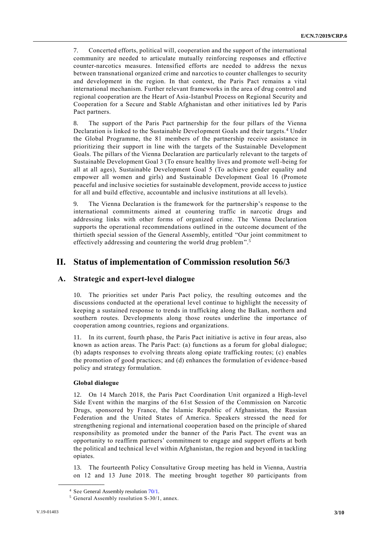7. Concerted efforts, political will, cooperation and the support of the international community are needed to articulate mutually reinforcing responses and effective counter-narcotics measures. Intensified efforts are needed to address the nexus between transnational organized crime and narcotics to counter challenges to security and development in the region. In that context, the Paris Pact remains a vital international mechanism. Further relevant frameworks in the area of drug control and regional cooperation are the Heart of Asia-Istanbul Process on Regional Security and Cooperation for a Secure and Stable Afghanistan and other initiatives led by Paris Pact partners.

8. The support of the Paris Pact partnership for the four pillars of the Vienna Declaration is linked to the Sustainable Development Goals and their targets.<sup>4</sup> Under the Global Programme, the 81 members of the partnership receive assistance in prioritizing their support in line with the targets of the Sustainable Development Goals. The pillars of the Vienna Declaration are particularly relevant to the targets of Sustainable Development Goal 3 (To ensure healthy lives and promote well-being for all at all ages), Sustainable Development Goal 5 (To achieve gender equality and empower all women and girls) and Sustainable Development Goal 16 (Promote peaceful and inclusive societies for sustainable development, provide access to justice for all and build effective, accountable and inclusive institutions at all levels).

9. The Vienna Declaration is the framework for the partnership's response to the international commitments aimed at countering traffic in narcotic drugs and addressing links with other forms of organized crime. The Vienna Declaration supports the operational recommendations outlined in the outcome document of the thirtieth special session of the General Assembly, entitled "Our joint commitment to effectively addressing and countering the world drug problem".<sup>5</sup>

## **II. Status of implementation of Commission resolution 56/3**

## **A. Strategic and expert-level dialogue**

10. The priorities set under Paris Pact policy, the resulting outcomes and the discussions conducted at the operational level continue to highlight the necessity of keeping a sustained response to trends in trafficking along the Balkan, northern and southern routes. Developments along those routes underline the importance of cooperation among countries, regions and organizations.

11. In its current, fourth phase, the Paris Pact initiative is active in four areas, also known as action areas. The Paris Pact: (a) functions as a forum for global dialogue; (b) adapts responses to evolving threats along opiate trafficking routes; (c) enables the promotion of good practices; and (d) enhances the formulation of evidence -based policy and strategy formulation.

### **Global dialogue**

**\_\_\_\_\_\_\_\_\_\_\_\_\_\_\_\_\_\_**

12. On 14 March 2018, the Paris Pact Coordination Unit organized a High-level Side Event within the margins of the 61st Session of the Commission on Narcotic Drugs, sponsored by France, the Islamic Republic of Afghanistan, the Russian Federation and the United States of America. Speakers stressed the need for strengthening regional and international cooperation based on the principle of shared responsibility as promoted under the banner of the Paris Pact. The event was an opportunity to reaffirm partners' commitment to engage and support efforts at both the political and technical level within Afghanistan, the region and beyond in tackling opiates.

13. The fourteenth Policy Consultative Group meeting has held in Vienna, Austria on 12 and 13 June 2018. The meeting brought together 80 participants from

<sup>4</sup> See General Assembly resolution [70/1.](http://undocs.org/A/RES/70/1)

<sup>5</sup> General Assembly resolution S-30/1, annex.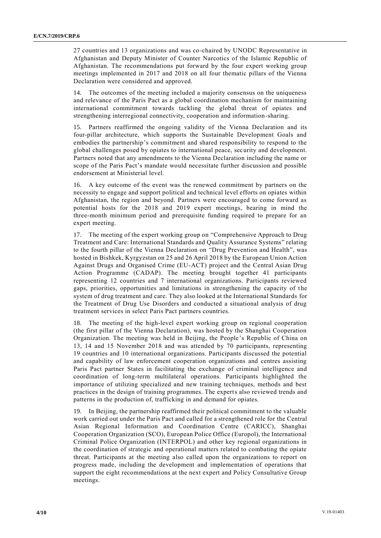27 countries and 13 organizations and was co-chaired by UNODC Representative in Afghanistan and Deputy Minister of Counter Narcotics of the Islamic Republic of Afghanistan*.* The recommendations put forward by the four expert working group meetings implemented in 2017 and 2018 on all four thematic pillars of the Vienna Declaration were considered and approved.

14. The outcomes of the meeting included a majority consensus on the uniqueness and relevance of the Paris Pact as a global coordination mechanism for maintaining international commitment towards tackling the global threat of opiates and strengthening interregional connectivity, cooperation and information-sharing.

15. Partners reaffirmed the ongoing validity of the Vienna Declaration and its four-pillar architecture, which supports the Sustainable Development Goals and embodies the partnership's commitment and shared responsibility to respond to the global challenges posed by opiates to international peace, security and development. Partners noted that any amendments to the Vienna Declaration including the name or scope of the Paris Pact's mandate would necessitate further discussion and possible endorsement at Ministerial level.

16. A key outcome of the event was the renewed commitment by partners on the necessity to engage and support political and technical level efforts on opiates within Afghanistan, the region and beyond. Partners were encouraged to come forward as potential hosts for the 2018 and 2019 expert meetings, bearing in mind the three-month minimum period and prerequisite funding required to prepare for an expert meeting.

17. The meeting of the expert working group on "Comprehensive Approach to Drug Treatment and Care: International Standards and Quality Assurance Systems" relating to the fourth pillar of the Vienna Declaration on "Drug Prevention and Health", was hosted in Bishkek, Kyrgyzstan on 25 and 26 April 2018 by the European Union Action Against Drugs and Organised Crime (EU-ACT) project and the Central Asian Drug Action Programme (CADAP). The meeting brought together 41 participants representing 12 countries and 7 international organizations. Participants reviewed gaps, priorities, opportunities and limitations in strengthening the capacity of the system of drug treatment and care. They also looked at the International Standards for the Treatment of Drug Use Disorders and conducted a situational analysis of drug treatment services in select Paris Pact partners countries.

18. The meeting of the high-level expert working group on regional cooperation (the first pillar of the Vienna Declaration), was hosted by the Shanghai Cooperation Organization. The meeting was held in Beijing, the People's Republic of China on 13, 14 and 15 November 2018 and was attended by 70 participants, representing 19 countries and 10 international organizations. Participants discussed the potential and capability of law enforcement cooperation organizations and centres assisting Paris Pact partner States in facilitating the exchange of criminal intelligence and coordination of long-term multilateral operations. Participants highlighted the importance of utilizing specialized and new training techniques, methods and best practices in the design of training programmes. The experts also reviewed trends and patterns in the production of, trafficking in and demand for opiates.

19. In Beijing, the partnership reaffirmed their political commitment to the valuable work carried out under the Paris Pact and called for a strengthened role for the Central Asian Regional Information and Coordination Centre (CARICC), Shanghai Cooperation Organization (SCO), European Police Office (Europol), the International Criminal Police Organization (INTERPOL) and other key regional organizations in the coordination of strategic and operational matters related to combating the opiate threat. Participants at the meeting also called upon the organizations to report on progress made, including the development and implementation of operations that support the eight recommendations at the next expert and Policy Consultative Group meetings.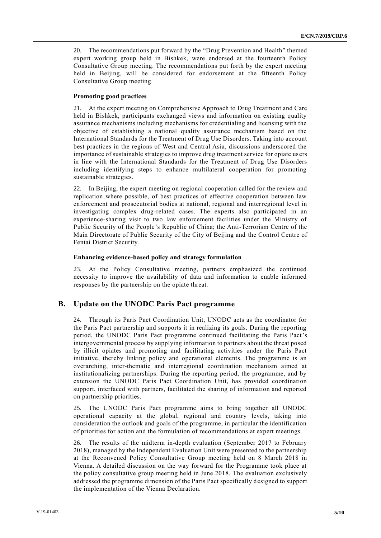20. The recommendations put forward by the "Drug Prevention and Health" themed expert working group held in Bishkek, were endorsed at the fourteenth Policy Consultative Group meeting. The recommendations put forth by the expert meeting held in Beijing, will be considered for endorsement at the fifteenth Policy Consultative Group meeting.

### **Promoting good practices**

21. At the expert meeting on Comprehensive Approach to Drug Treatment and Care held in Bishkek, participants exchanged views and information on existing quality assurance mechanisms including mechanisms for credentialing and licensing with the objective of establishing a national quality assurance mechanism based on the International Standards for the Treatment of Drug Use Disorders. Taking into account best practices in the regions of West and Central Asia, discussions underscored the importance of sustainable strategies to improve drug treatment service for opiate us ers in line with the International Standards for the Treatment of Drug Use Disorders including identifying steps to enhance multilateral cooperation for promoting sustainable strategies.

22. In Beijing, the expert meeting on regional cooperation called for the review and replication where possible, of best practices of effective cooperation between law enforcement and prosecutorial bodies at national, regional and interregional level in investigating complex drug-related cases. The experts also participated in an experience-sharing visit to two law enforcement facilities under the Ministry of Public Security of the People's Republic of China; the Anti-Terrorism Centre of the Main Directorate of Public Security of the City of Beijing and the Control Centre of Fentai District Security.

### **Enhancing evidence-based policy and strategy formulation**

23. At the Policy Consultative meeting, partners emphasized the continued necessity to improve the availability of data and information to enable informed responses by the partnership on the opiate threat.

## **B. Update on the UNODC Paris Pact programme**

24. Through its Paris Pact Coordination Unit, UNODC acts as the coordinator for the Paris Pact partnership and supports it in realizing its goals. During the reporting period, the UNODC Paris Pact programme continued facilitating the Paris Pact's intergovernmental process by supplying information to partners about the threat posed by illicit opiates and promoting and facilitating activities under the Paris Pact initiative, thereby linking policy and operational elements. The programme is an overarching, inter-thematic and interregional coordination mechanism aimed at institutionalizing partnerships. During the reporting period, the programme, and by extension the UNODC Paris Pact Coordination Unit, has provided coordination support, interfaced with partners, facilitated the sharing of information and reported on partnership priorities.

25. The UNODC Paris Pact programme aims to bring together all UNODC operational capacity at the global, regional and country levels, taking into consideration the outlook and goals of the programme, in particular the identification of priorities for action and the formulation of recommendations at expert meetings.

26. The results of the midterm in-depth evaluation (September 2017 to February 2018), managed by the Independent Evaluation Unit were presented to the partnership at the Reconvened Policy Consultative Group meeting held on 8 March 2018 in Vienna. A detailed discussion on the way forward for the Programme took place at the policy consultative group meeting held in June 2018. The evaluation exclusively addressed the programme dimension of the Paris Pact specifically designed to support the implementation of the Vienna Declaration.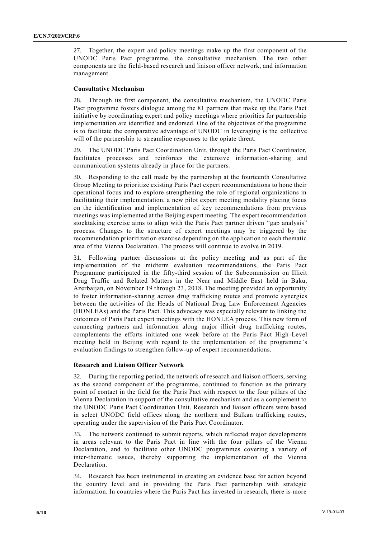27. Together, the expert and policy meetings make up the first component of the UNODC Paris Pact programme, the consultative mechanism. The two other components are the field-based research and liaison officer network, and information management.

### **Consultative Mechanism**

Through its first component, the consultative mechanism, the UNODC Paris Pact programme fosters dialogue among the 81 partners that make up the Paris Pact initiative by coordinating expert and policy meetings where priorities for partnership implementation are identified and endorsed. One of the objectives of the programme is to facilitate the comparative advantage of UNODC in leveraging is the collective will of the partnership to streamline responses to the opiate threat.

The UNODC Paris Pact Coordination Unit, through the Paris Pact Coordinator, facilitates processes and reinforces the extensive information-sharing and communication systems already in place for the partners.

30. Responding to the call made by the partnership at the fourteenth Consultative Group Meeting to prioritize existing Paris Pact expert recommendations to hone their operational focus and to explore strengthening the role of regional organizations in facilitating their implementation, a new pilot expert meeting modality placing focus on the identification and implementation of key recommendations from previous meetings was implemented at the Beijing expert meeting. The expert recommendation stocktaking exercise aims to align with the Paris Pact partner driven "gap analysis" process. Changes to the structure of expert meetings may be triggered by the recommendation prioritization exercise depending on the application to each thematic area of the Vienna Declaration. The process will continue to evolve in 2019.

31. Following partner discussions at the policy meeting and as part of the implementation of the midterm evaluation recommendations, the Paris Pact Programme participated in the fifty-third session of the Subcommission on Illicit Drug Traffic and Related Matters in the Near and Middle East held in Baku, Azerbaijan, on November 19 through 23, 2018. The meeting provided an opportunity to foster information-sharing across drug trafficking routes and promote synergies between the activities of the Heads of National Drug Law Enforcement Agencies (HONLEAs) and the Paris Pact. This advocacy was especially relevant to linking the outcomes of Paris Pact expert meetings with the HONLEA process. This new form of connecting partners and information along major illicit drug trafficking routes, complements the efforts initiated one week before at the Paris Pact High-Level meeting held in Beijing with regard to the implementation of the programme 's evaluation findings to strengthen follow-up of expert recommendations.

### **Research and Liaison Officer Network**

32. During the reporting period, the network of research and liaison officers, serving as the second component of the programme, continued to function as the primary point of contact in the field for the Paris Pact with respect to the four pillars of the Vienna Declaration in support of the consultative mechanism and as a complement to the UNODC Paris Pact Coordination Unit. Research and liaison officers were based in select UNODC field offices along the northern and Balkan trafficking routes, operating under the supervision of the Paris Pact Coordinator.

33. The network continued to submit reports, which reflected major developments in areas relevant to the Paris Pact in line with the four pillars of the Vienna Declaration, and to facilitate other UNODC programmes covering a variety of inter-thematic issues, thereby supporting the implementation of the Vienna Declaration.

34. Research has been instrumental in creating an evidence base for action beyond the country level and in providing the Paris Pact partnership with strategic information. In countries where the Paris Pact has invested in research, there is more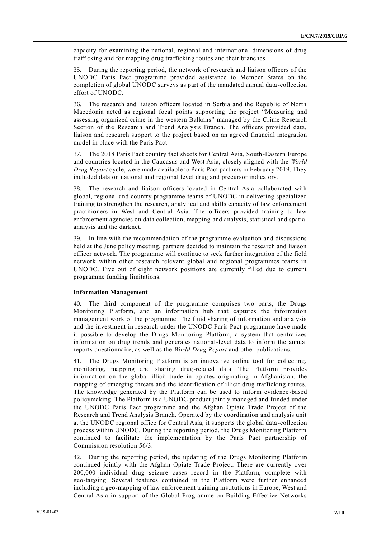capacity for examining the national, regional and international dimensions of drug trafficking and for mapping drug trafficking routes and their branches.

35. During the reporting period, the network of research and liaison officers of the UNODC Paris Pact programme provided assistance to Member States on the completion of global UNODC surveys as part of the mandated annual data -collection effort of UNODC.

36. The research and liaison officers located in Serbia and the Republic of North Macedonia acted as regional focal points supporting the project "Measuring and assessing organized crime in the western Balkans" managed by the Crime Research Section of the Research and Trend Analysis Branch. The officers provided data, liaison and research support to the project based on an agr eed financial integration model in place with the Paris Pact.

37. The 2018 Paris Pact country fact sheets for Central Asia, South-Eastern Europe and countries located in the Caucasus and West Asia, closely aligned with the *World Drug Report* cycle, were made available to Paris Pact partners in February 2019. They included data on national and regional level drug and precursor indicators.

38. The research and liaison officers located in Central Asia collaborated with global, regional and country programme teams of UNODC in delivering specialized training to strengthen the research, analytical and skills capacity of law enforcement practitioners in West and Central Asia. The officers provided training to law enforcement agencies on data collection, mapping and analysis, statistical and spatial analysis and the darknet.

39. In line with the recommendation of the programme evaluation and discussions held at the June policy meeting, partners decided to maintain the research and liaison officer network. The programme will continue to seek further integration of the field network within other research relevant global and regional programmes teams in UNODC. Five out of eight network positions are currently filled due to current programme funding limitations.

### **Information Management**

40. The third component of the programme comprises two parts, the Drugs Monitoring Platform, and an information hub that captures the information management work of the programme. The fluid sharing of information and analysis and the investment in research under the UNODC Paris Pact programme have made it possible to develop the Drugs Monitoring Platform, a system that centralizes information on drug trends and generates national-level data to inform the annual reports questionnaire, as well as the *World Drug Report* and other publications.

41. The Drugs Monitoring Platform is an innovative online tool for collecting, monitoring, mapping and sharing drug-related data. The Platform provides information on the global illicit trade in opiates originating in Afghanistan, the mapping of emerging threats and the identification of illicit drug trafficking routes. The knowledge generated by the Platform can be used to inform evidence -based policymaking. The Platform is a UNODC product jointly managed and funded under the UNODC Paris Pact programme and the Afghan Opiate Trade Project of the Research and Trend Analysis Branch. Operated by the coordination and analysis unit at the UNODC regional office for Central Asia, it supports the global data -collection process within UNODC. During the reporting period, the Drugs Monitoring Platform continued to facilitate the implementation by the Paris Pact partnership of Commission resolution 56/3.

42. During the reporting period, the updating of the Drugs Monitoring Platform continued jointly with the Afghan Opiate Trade Project. There are currently over 200,000 individual drug seizure cases record in the Platform, complete with geo-tagging. Several features contained in the Platform were further enhanced including a geo-mapping of law enforcement training institutions in Europe, West and Central Asia in support of the Global Programme on Building Effective Networks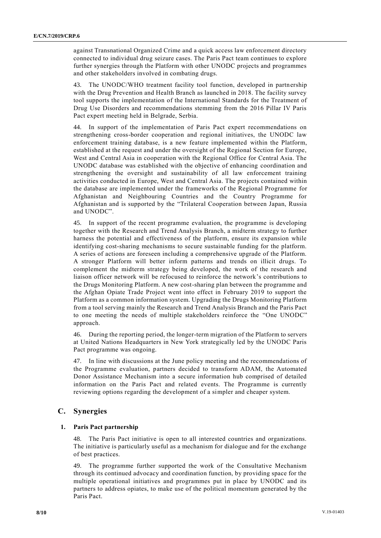against Transnational Organized Crime and a quick access law enforcement directory connected to individual drug seizure cases. The Paris Pact team continues to explore further synergies through the Platform with other UNODC projects and programmes and other stakeholders involved in combating drugs.

43. The UNODC/WHO treatment facility tool function, developed in partnership with the Drug Prevention and Health Branch as launched in 2018. The facility survey tool supports the implementation of the International Standards for the Treatment of Drug Use Disorders and recommendations stemming from the 2016 Pillar IV Paris Pact expert meeting held in Belgrade, Serbia.

44. In support of the implementation of Paris Pact expert recommendations on strengthening cross-border cooperation and regional initiatives, the UNODC law enforcement training database, is a new feature implemented within the Platform, established at the request and under the oversight of the Regional Section for Europe, West and Central Asia in cooperation with the Regional Office for Central Asia. The UNODC database was established with the objective of enhancing coordination and strengthening the oversight and sustainability of all law enforcement training activities conducted in Europe, West and Central Asia. The projects contained within the database are implemented under the frameworks of the Regional Programme for Afghanistan and Neighbouring Countries and the Country Programme for Afghanistan and is supported by the "Trilateral Cooperation between Japan, Russia and UNODC".

45. In support of the recent programme evaluation, the programme is developing together with the Research and Trend Analysis Branch, a midterm strategy to further harness the potential and effectiveness of the platform, ensure its expansion while identifying cost-sharing mechanisms to secure sustainable funding for the platform. A series of actions are foreseen including a comprehensive upgrade of the Platform. A stronger Platform will better inform patterns and trends on illicit drugs. To complement the midterm strategy being developed, the work of the research and liaison officer network will be refocused to reinforce the network's contributions to the Drugs Monitoring Platform. A new cost-sharing plan between the programme and the Afghan Opiate Trade Project went into effect in February 2019 to support the Platform as a common information system. Upgrading the Drugs Monitoring Platform from a tool serving mainly the Research and Trend Analysis Branch and the Paris Pact to one meeting the needs of multiple stakeholders reinforce the "One UNODC" approach.

46. During the reporting period, the longer-term migration of the Platform to servers at United Nations Headquarters in New York strategically led by the UNODC Paris Pact programme was ongoing.

47. In line with discussions at the June policy meeting and the recommendations of the Programme evaluation, partners decided to transform ADAM, the Automated Donor Assistance Mechanism into a secure information hub comprised of detailed information on the Paris Pact and related events. The Programme is currently reviewing options regarding the development of a simpler and cheaper system.

## **C. Synergies**

### **1. Paris Pact partnership**

48. The Paris Pact initiative is open to all interested countries and organizations. The initiative is particularly useful as a mechanism for dialogue and for the exchange of best practices.

49. The programme further supported the work of the Consultative Mechanism through its continued advocacy and coordination function, by providing space for the multiple operational initiatives and programmes put in place by UNODC and its partners to address opiates, to make use of the political momentum generated by the Paris Pact.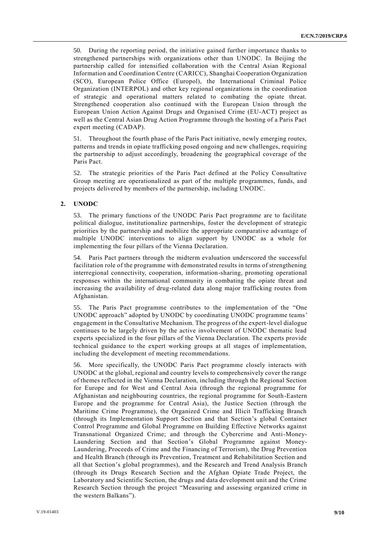50. During the reporting period, the initiative gained further importance thanks to strengthened partnerships with organizations other than UNODC. In Beijing the partnership called for intensified collaboration with the Central Asian Regional Information and Coordination Centre (CARICC), Shanghai Cooperation Organization (SCO), European Police Office (Europol), the International Criminal Police Organization (INTERPOL) and other key regional organizations in the coordination of strategic and operational matters related to combating the opiate threat. Strengthened cooperation also continued with the European Union through the European Union Action Against Drugs and Organised Crime (EU-ACT) project as well as the Central Asian Drug Action Programme through the hosting of a Paris Pact expert meeting (CADAP).

51. Throughout the fourth phase of the Paris Pact initiative, newly emerging routes, patterns and trends in opiate trafficking posed ongoing and new challenges, requiring the partnership to adjust accordingly, broadening the geographical coverage of the Paris Pact.

52. The strategic priorities of the Paris Pact defined at the Policy Consultative Group meeting are operationalized as part of the multiple programmes, funds, and projects delivered by members of the partnership, including UNODC.

### **2. UNODC**

53. The primary functions of the UNODC Paris Pact programme are to facilitate political dialogue, institutionalize partnerships, foster the development of strategic priorities by the partnership and mobilize the appropriate comparative advantage of multiple UNODC interventions to align support by UNODC as a whole for implementing the four pillars of the Vienna Declaration.

54. Paris Pact partners through the midterm evaluation underscored the successful facilitation role of the programme with demonstrated results in terms of strengthening interregional connectivity, cooperation, information-sharing, promoting operational responses within the international community in combating the opiate threat and increasing the availability of drug-related data along major trafficking routes from Afghanistan.

55. The Paris Pact programme contributes to the implementation of the "One UNODC approach" adopted by UNODC by coordinating UNODC programme teams' engagement in the Consultative Mechanism. The progress of the expert-level dialogue continues to be largely driven by the active involvement of UNODC thematic lead experts specialized in the four pillars of the Vienna Declaration. The experts provide technical guidance to the expert working groups at all stages of implementation, including the development of meeting recommendations.

56. More specifically, the UNODC Paris Pact programme closely interacts with UNODC at the global, regional and country levels to comprehensively cover the range of themes reflected in the Vienna Declaration, including through the Regional Section for Europe and for West and Central Asia (through the regional programme for Afghanistan and neighbouring countries, the regional programme for South-Eastern Europe and the programme for Central Asia), the Justice Section (through the Maritime Crime Programme), the Organized Crime and Illicit Trafficking Branch (through its Implementation Support Section and that Section's global Container Control Programme and Global Programme on Building Effective Networks against Transnational Organized Crime; and through the Cybercrime and Anti-Money-Laundering Section and that Section's Global Programme against Money-Laundering, Proceeds of Crime and the Financing of Terrorism), the Drug Prevention and Health Branch (through its Prevention, Treatment and Rehabilitation Section and all that Section's global programmes), and the Research and Trend Analysis Branch (through its Drugs Research Section and the Afghan Opiate Trade Project, the Laboratory and Scientific Section, the drugs and data development unit and the Crime Research Section through the project "Measuring and assessing organized crime in the western Balkans").